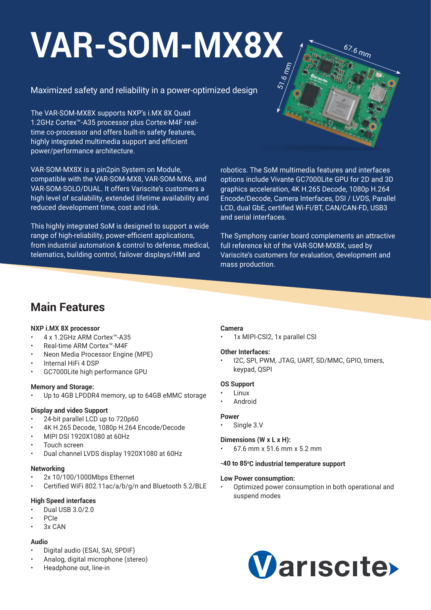# **[VAR-SOM-MX8X](https://www.variscite.com/product/cortex-a35/var-som-mx8x-nxp-imx8x/)** 51.6 mm

### Maximized safety and reliability in a power-optimized design

The VAR-SOM-MX8X supports NXP's i.MX 8X Quad 1.2GHz Cortex™-A35 processor plus Cortex-M4F realtime co-processor and offers built-in safety features, highly integrated multimedia support and efficient power/performance architecture.

VAR-SOM-MX8X is a pin2pin System on Module, compatible with the VAR-SOM-MX8, VAR-SOM-MX6, and VAR-SOM-SOLO/DUAL. It offers Variscite's customers a high level of scalability, extended lifetime availability and reduced development time, cost and risk.

This highly integrated SoM is designed to support a wide range of high-reliability, power-efficient applications, from industrial automation & control to defense, medical, telematics, building control, failover displays/HMI and

robotics. The SoM multimedia features and interfaces options include Vivante GC7000Lite GPU for 2D and 3D graphics acceleration, 4K H.265 Decode, 1080p H.264 Encode/Decode, Camera Interfaces, DSI / LVDS, Parallel LCD, dual GbE, certified Wi-Fi/BT, CAN/CAN-FD, USB3 and serial interfaces.

67.6 mm

The Symphony carrier board complements an attractive full reference kit of the VAR-SOM-MX8X, used by Variscite's customers for evaluation, development and mass production.

### **Main Features**

### **NXP i.MX 8X processor**

- 4 x 1.2GHz ARM Cortex™-A35
- Real-time ARM Cortex™-M4F
- Neon Media Processor Engine (MPE)
- Internal HiFi 4 DSP
- GC7000Lite high performance GPU

### **Memory and Storage:**

Up to 4GB LPDDR4 memory, up to 64GB eMMC storage

### **Display and video Support**

- 24-bit parallel LCD up to 720p60
- 4K H.265 Decode, 1080p H.264 Encode/Decode
- MIPI DSI 1920X1080 at 60Hz
- Touch screen
- Dual channel LVDS display 1920X1080 at 60Hz

### **Networking**

- 2x 10/100/1000Mbps Ethernet
- Certified WiFi 802.11ac/a/b/g/n and Bluetooth 5.2/BLE

### **High Speed interfaces**

- Dual USB 3.0/2.0
- PCIe
- 3x CAN

### **Audio**

- Digital audio (ESAI, SAI, SPDIF)
- Analog, digital microphone (stereo)
- Headphone out, line-in

### **Camera**

1x MIPI-CSI2, 1x parallel CSI

### **Other Interfaces:**

• I2C, SPI, PWM, JTAG, UART, SD/MMC, GPIO, timers, keypad, QSPI

### **OS Support**

- Linux
- Android

### **Power**

Single 3.V

### **Dimensions (W x L x H):**

• 67.6 mm x 51.6 mm x 5.2 mm

### **-40 to 85o C industrial temperature support**

### **Low Power consumption:**

• Optimized power consumption in both operational and suspend modes